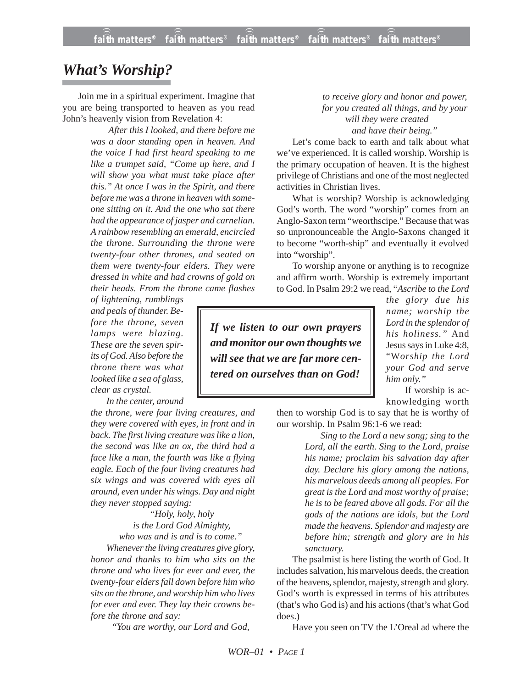## *What's Worship?*

Join me in a spiritual experiment. Imagine that you are being transported to heaven as you read John's heavenly vision from Revelation 4:

> *After this I looked, and there before me was a door standing open in heaven. And the voice I had first heard speaking to me like a trumpet said, "Come up here, and I will show you what must take place after this." At once I was in the Spirit, and there before me was a throne in heaven with someone sitting on it. And the one who sat there had the appearance of jasper and carnelian. A rainbow resembling an emerald, encircled the throne. Surrounding the throne were twenty-four other thrones, and seated on them were twenty-four elders. They were dressed in white and had crowns of gold on their heads. From the throne came flashes*

*of lightening, rumblings and peals of thunder. Before the throne, seven lamps were blazing. These are the seven spirits of God. Also before the throne there was what looked like a sea of glass, clear as crystal.*

*In the center, around*

*the throne, were four living creatures, and they were covered with eyes, in front and in back. The first living creature was like a lion, the second was like an ox, the third had a face like a man, the fourth was like a flying eagle. Each of the four living creatures had six wings and was covered with eyes all around, even under his wings. Day and night they never stopped saying:*

 *"Holy, holy, holy is the Lord God Almighty, who was and is and is to come."*

*Whenever the living creatures give glory, honor and thanks to him who sits on the throne and who lives for ever and ever, the twenty-four elders fall down before him who sits on the throne, and worship him who lives for ever and ever. They lay their crowns before the throne and say:*

*"You are worthy, our Lord and God,*

*to receive glory and honor and power, for you created all things, and by your will they were created and have their being."*

Let's come back to earth and talk about what we've experienced. It is called worship. Worship is the primary occupation of heaven. It is the highest privilege of Christians and one of the most neglected activities in Christian lives.

What is worship? Worship is acknowledging God's worth. The word "worship" comes from an Anglo-Saxon term "weorthscipe." Because that was so unpronounceable the Anglo-Saxons changed it to become "worth-ship" and eventually it evolved into "worship".

To worship anyone or anything is to recognize and affirm worth. Worship is extremely important to God. In Psalm 29:2 we read, "*Ascribe to the Lord*

*If we listen to our own prayers and monitor our own thoughts we will see that we are far more centered on ourselves than on God!*

*the glory due his name; worship the Lord in the splendor of his holiness."* And Jesus says in Luke 4:8, "W*orship the Lord your God and serve him only."*

If worship is acknowledging worth

then to worship God is to say that he is worthy of our worship. In Psalm 96:1-6 we read:

> *Sing to the Lord a new song; sing to the Lord, all the earth. Sing to the Lord, praise his name; proclaim his salvation day after day. Declare his glory among the nations, his marvelous deeds among all peoples. For great is the Lord and most worthy of praise; he is to be feared above all gods. For all the gods of the nations are idols, but the Lord made the heavens. Splendor and majesty are before him; strength and glory are in his sanctuary.*

The psalmist is here listing the worth of God. It includes salvation, his marvelous deeds, the creation of the heavens, splendor, majesty, strength and glory. God's worth is expressed in terms of his attributes (that's who God is) and his actions (that's what God does.)

Have you seen on TV the L'Oreal ad where the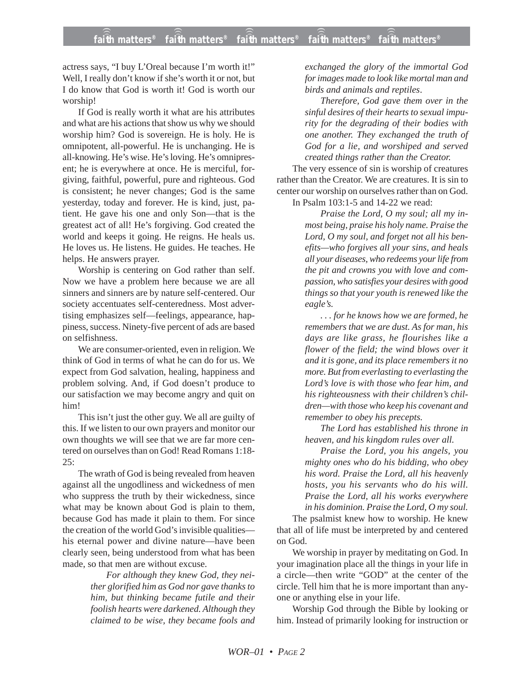actress says, "I buy L'Oreal because I'm worth it!" Well, I really don't know if she's worth it or not, but I do know that God is worth it! God is worth our worship!

If God is really worth it what are his attributes and what are his actions that show us why we should worship him? God is sovereign. He is holy. He is omnipotent, all-powerful. He is unchanging. He is all-knowing. He's wise. He's loving. He's omnipresent; he is everywhere at once. He is merciful, forgiving, faithful, powerful, pure and righteous. God is consistent; he never changes; God is the same yesterday, today and forever. He is kind, just, patient. He gave his one and only Son—that is the greatest act of all! He's forgiving. God created the world and keeps it going. He reigns. He heals us. He loves us. He listens. He guides. He teaches. He helps. He answers prayer.

Worship is centering on God rather than self. Now we have a problem here because we are all sinners and sinners are by nature self-centered. Our society accentuates self-centeredness. Most advertising emphasizes self—feelings, appearance, happiness, success. Ninety-five percent of ads are based on selfishness.

We are consumer-oriented, even in religion. We think of God in terms of what he can do for us. We expect from God salvation, healing, happiness and problem solving. And, if God doesn't produce to our satisfaction we may become angry and quit on him!

This isn't just the other guy. We all are guilty of this. If we listen to our own prayers and monitor our own thoughts we will see that we are far more centered on ourselves than on God! Read Romans 1:18- 25:

The wrath of God is being revealed from heaven against all the ungodliness and wickedness of men who suppress the truth by their wickedness, since what may be known about God is plain to them, because God has made it plain to them. For since the creation of the world God's invisible qualities his eternal power and divine nature—have been clearly seen, being understood from what has been made, so that men are without excuse.

> *For although they knew God, they neither glorified him as God nor gave thanks to him, but thinking became futile and their foolish hearts were darkened. Although they claimed to be wise, they became fools and*

*exchanged the glory of the immortal God for images made to look like mortal man and birds and animals and reptiles*.

*Therefore, God gave them over in the sinful desires of their hearts to sexual impurity for the degrading of their bodies with one another. They exchanged the truth of God for a lie, and worshiped and served created things rather than the Creator.*

The very essence of sin is worship of creatures rather than the Creator. We are creatures. It is sin to center our worship on ourselves rather than on God. In Psalm 103:1-5 and 14-22 we read:

*Praise the Lord, O my soul; all my inmost being, praise his holy name. Praise the Lord, O my soul, and forget not all his benefits—who forgives all your sins, and heals all your diseases, who redeems your life from the pit and crowns you with love and compassion, who satisfies your desires with good things so that your youth is renewed like the*

*eagle's. . . . for he knows how we are formed, he remembers that we are dust. As for man, his days are like grass, he flourishes like a flower of the field; the wind blows over it and it is gone, and its place remembers it no more. But from everlasting to everlasting the Lord's love is with those who fear him, and his righteousness with their children's children—with those who keep his covenant and remember to obey his precepts.*

*The Lord has established his throne in heaven, and his kingdom rules over all.*

*Praise the Lord, you his angels, you mighty ones who do his bidding, who obey his word. Praise the Lord, all his heavenly hosts, you his servants who do his will. Praise the Lord, all his works everywhere in his dominion. Praise the Lord, O my soul.*

The psalmist knew how to worship. He knew that all of life must be interpreted by and centered on God.

We worship in prayer by meditating on God. In your imagination place all the things in your life in a circle—then write "GOD" at the center of the circle. Tell him that he is more important than anyone or anything else in your life.

Worship God through the Bible by looking or him. Instead of primarily looking for instruction or